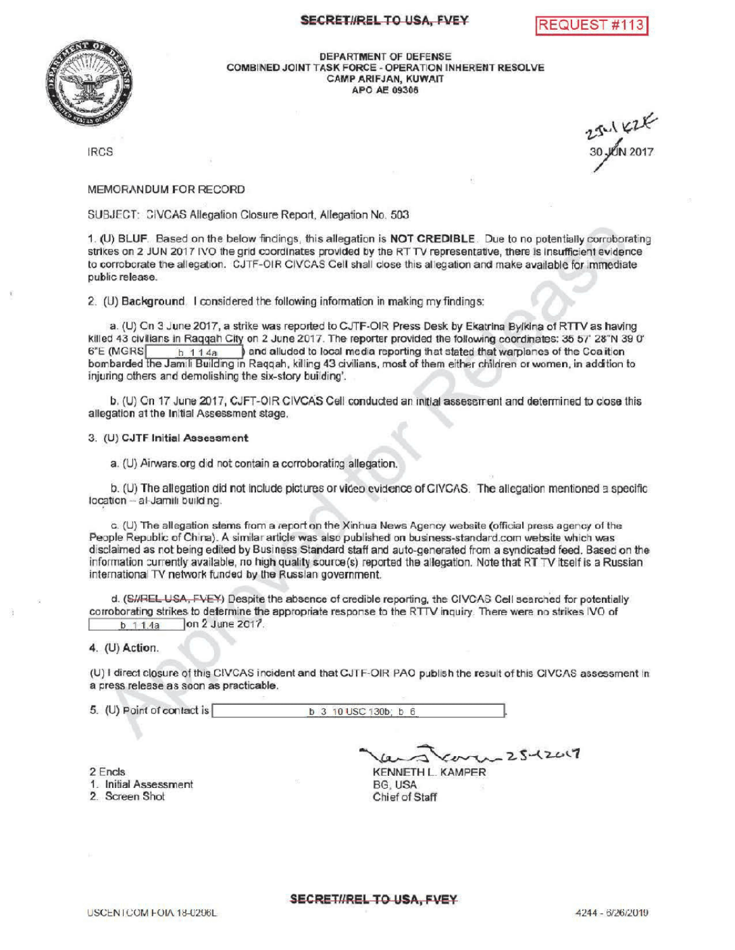## SECRET#REL TO USA, FVEY REQUEST #113





DEPARTMENTOF DEFENSE COMBINED JOINT TASK FORCE - OPERATION INHERENT RESOLVE CAMPARIFJAN, KUWAIT **APO AE 09306** 

IRCS 30 JUN 2017

## MEMORANDUM FOR RECORD

SUBJECT: CIVCAS Allegation Closure Report, Allegation No. 503

1. (U) BLUF. Based on the below findings, this allegation is NOT CREDIBLE. Due to no potentially corroborating strikes on 2 JUN 2017 IVO the grid coordinates provided by the RTTV representative, there is insufficient evidence to corroborate the allegation. CJTF-OIR CIVCAS Cell shall close this allegationand make available for immediate public release.

2. (U) Background I considered the following information in making my findings:

a. (U) Cn 3 June 2017, a strike was reported to CJTF-OIR Press Desk by Ekatrina Byikina of RTTV as having killed 43 civilians in Raqqah City on 2 June 2017. The reporter provided the following coordinates: 35 57' 28"N 39 0'<br>6"E (MGRS  $\frac{1}{10}$  1 1 4a  $\frac{1}{10}$  and alluded to local media reporting that stated that warplanes ) and alluded to local media reporting that stated that warplanes of the Coalition bombarded the Jamili Building in Raqqah, killing 43 civilians , most ofthem either children or women , in addition to injuring others and demolishing the six-story building'.

b. (U) On 17 June 2017, CJFT-OIR CIVCAS Cell conducted an initial assessment and determined to close this allegation at the Initial Assessment stage.

## 3. (U) CJTF Initial Assessment

a. (U) Airwars.org did not contain a corroborating allegation.

b. (U) The allegation did not include pictures or video evidence of CIVCAS. The allegation mentioned a specific location- al-Jamili building.

(U) The allegation stems from a reporton the Xinhua News Agency website ( official press agency of the People Republic of China). A similar article was also published on business-standard.com website which was disclaimed as not being edited by Business Standard staff and auto-generated from a syndicated feed. Based on the information currently available, no high quality source (s) reported the allegation. Note that RT TV itself is a Russian international TV network funded by the Russian government.

d. (SHREL USA, FVEY) Despite the absence of credible reporting, the CIVCAS Cell searched for potentially corroborating strikes to determine the appropriate response to the RTTV inquiry. There were no strikes IVO of  $\overline{b}$  11.4a 000 2 June 2017. on 2 June 2017.

## 4. (U) Action

(U) direct closure ofthisCIVCAS incident and that CJTF- OIR PAO publishthe resultofthis CIVCAS assessment in a press release as soon as practicable.

5. (U) Point of contact is  $\begin{array}{|c|c|c|c|c|c|c|c|c|}\n\hline\n\text{b} & \text{3} & \text{10 USC 130b}; & b & 6 \\
\hline\n\end{array}$ 

2 Encls 1. Initial Assessment 2. Screen Shot

 $-25-12017$ KENNETH L. KAMPER

BG, USA Chief of Staff

SECRETI/REL TO USA, FVEY